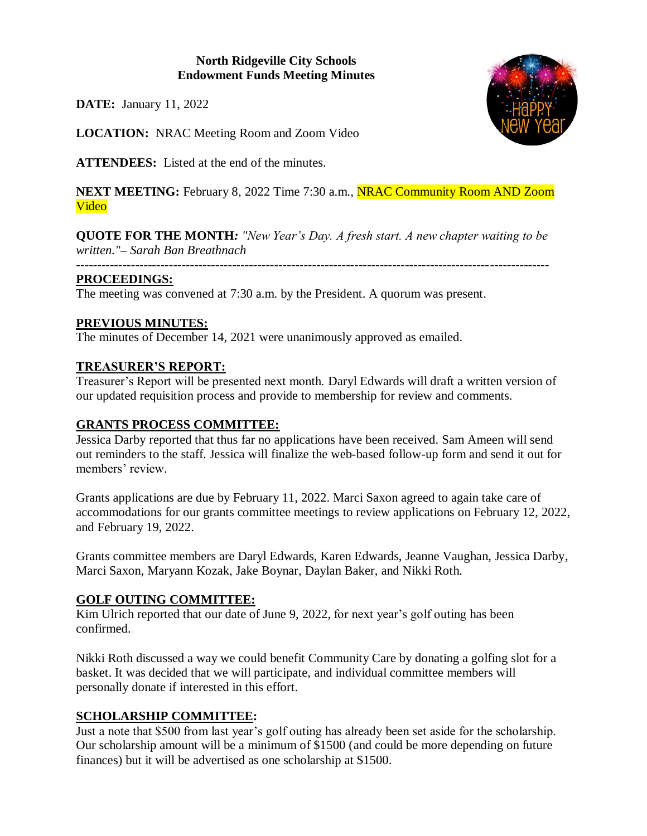### **North Ridgeville City Schools Endowment Funds Meeting Minutes**

**DATE:** January 11, 2022

**LOCATION:** NRAC Meeting Room and Zoom Video

**ATTENDEES:** Listed at the end of the minutes.

**NEXT MEETING:** February 8, 2022 Time 7:30 a.m., **NRAC Community Room AND Zoom** Video

**QUOTE FOR THE MONTH***: "New Year's Day. A fresh start. A new chapter waiting to be written."– Sarah Ban Breathnach*

*----------------------------------------------------------------------------------------------------------------*

### **PROCEEDINGS:**

The meeting was convened at 7:30 a.m. by the President. A quorum was present.

## **PREVIOUS MINUTES:**

The minutes of December 14, 2021 were unanimously approved as emailed.

## **TREASURER'S REPORT:**

Treasurer's Report will be presented next month. Daryl Edwards will draft a written version of our updated requisition process and provide to membership for review and comments.

### **GRANTS PROCESS COMMITTEE:**

Jessica Darby reported that thus far no applications have been received. Sam Ameen will send out reminders to the staff. Jessica will finalize the web-based follow-up form and send it out for members' review.

Grants applications are due by February 11, 2022. Marci Saxon agreed to again take care of accommodations for our grants committee meetings to review applications on February 12, 2022, and February 19, 2022.

Grants committee members are Daryl Edwards, Karen Edwards, Jeanne Vaughan, Jessica Darby, Marci Saxon, Maryann Kozak, Jake Boynar, Daylan Baker, and Nikki Roth.

### **GOLF OUTING COMMITTEE:**

Kim Ulrich reported that our date of June 9, 2022, for next year's golf outing has been confirmed.

Nikki Roth discussed a way we could benefit Community Care by donating a golfing slot for a basket. It was decided that we will participate, and individual committee members will personally donate if interested in this effort.

# **SCHOLARSHIP COMMITTEE:**

Just a note that \$500 from last year's golf outing has already been set aside for the scholarship. Our scholarship amount will be a minimum of \$1500 (and could be more depending on future finances) but it will be advertised as one scholarship at \$1500.

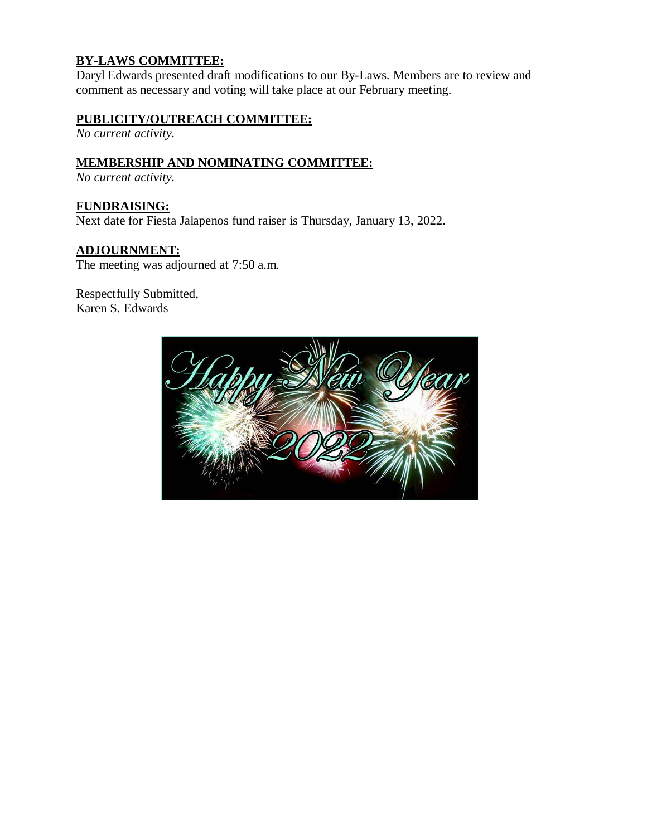# **BY-LAWS COMMITTEE:**

Daryl Edwards presented draft modifications to our By-Laws. Members are to review and comment as necessary and voting will take place at our February meeting.

### **PUBLICITY/OUTREACH COMMITTEE:**

*No current activity.*

### **MEMBERSHIP AND NOMINATING COMMITTEE:**

*No current activity.*

**FUNDRAISING:** Next date for Fiesta Jalapenos fund raiser is Thursday, January 13, 2022.

#### **ADJOURNMENT:**

The meeting was adjourned at 7:50 a.m.

Respectfully Submitted, Karen S. Edwards